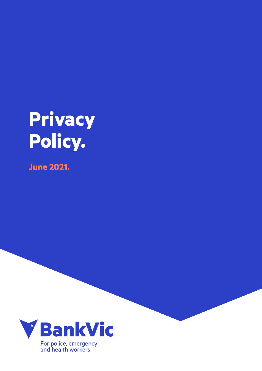# **Privacy Policy.**

**June 2021.**

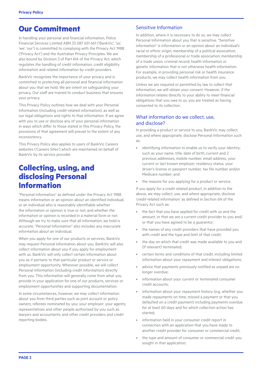## **Our Commitment**

In handling your personal and financial information, Police Financial Services Limited ABN 33 087 651 661 ('BankVic', 'us', 'we', 'our') is committed to complying with the Privacy Act 1988 ('Privacy Act') and the Australian Privacy Principles. We are also bound by Division 3 of Part IIIA of the Privacy Act, which regulates the handling of credit information, credit eligibility information and related information by credit providers.

BankVic recognises the importance of your privacy and is committed to protecting all personal and financial information about you that we hold. We are intent on safeguarding your privacy. Our staff are trained to conduct business that ensures your privacy.

This Privacy Policy outlines how we deal with your Personal Information (including credit-related information), as well as our legal obligations and rights to that information. If we agree with you to use or disclose any of your personal information in ways which differ to those stated in this Privacy Policy, the provisions of that agreement will prevail to the extent of any inconsistency.

This Privacy Policy also applies to users of BankVic Careers websites ('Careers Sites') which are maintained on behalf of BankVic by its service provider.

## **Collecting, using, and disclosing Personal Information**

"Personal Information" as defined under the Privacy Act 1988 means information or an opinion about an identified individual, or an individual who is reasonably identifiable whether the information or opinion is true or not; and whether the information or opinion is recorded in a material form or not. Although we try to make sure that all information, we hold is accurate, "Personal Information" also includes any inaccurate information about an individual.

When you apply for one of our products or services, BankVic may request Personal Information about you. BankVic will also collect information about you if you apply for employment with us. BankVic will only collect certain information about you as it pertains to that particular product or service or employment opportunity. Wherever possible, we will collect Personal Information (including credit information) directly from you. This information will generally come from what you provide in your application for one of our products, services or employment opportunities and supporting documentation.

In some circumstances, however, we may collect information about you from third parties such as joint account or policy owners; referees nominated by you; your employer; your agents; representatives and other people authorised by you such as lawyers and accountants; and other credit providers and credit reporting bodies.

#### Sensitive Information

In addition, where it is necessary to do so, we may collect Personal Information about you that is sensitive. "Sensitive information" is information or an opinion about an individual's racial or ethnic origin; membership of a political association; membership of a professional or trade association; membership of a trade union; criminal record; health information or genetic information that is not otherwise health information. For example, in providing personal risk or health insurance products, we may collect health information from you.

Unless we are required or permitted by law to collect that information, we will obtain your consent. However, if the information relates directly to your ability to meet financial obligations that you owe to us, you are treated as having consented to its collection.

#### What information do we collect, use, and disclose?

In providing a product or service to you, BankVic may collect, use, and where appropriate, disclose Personal Information such as:

- identifying information to enable us to verify your identity; such as your name, title, date of birth, current and 2 previous addresses, mobile number, email address, your current or last known employer, residency status, your driver's license or passport number, tax file number and/or Medicare number; and
- the reasons for you applying for a product or service.

If you apply for a credit related product, in addition to the above, we may collect, use, and where appropriate, disclose 'credit-related information' as defined in Section 6N of the Privacy Act such as:

- the fact that you have applied for credit with us and the amount, or that we are a current credit provider to you and/ or that you have agreed to be a guarantor;
- the names of any credit providers that have provided you with credit and the type and limit of that credit;
- the day on which that credit was made available to you and (if relevant) terminated;
- certain terms and conditions of that credit, including limited information about your repayment and interest obligations;
- advice that payments previously notified as unpaid are no longer overdue;
- information about your current or terminated consumer credit accounts;
- information about your repayment history (e.g. whether you made repayments on time, missed a payment or that you defaulted on a credit payment) including payments overdue for at least 60 days and for which collection action has started;
- information held in your consumer credit report in connection with an application that you have made to another credit provider for consumer or commercial credit;
- the type and amount of consumer or commercial credit you sought in that application;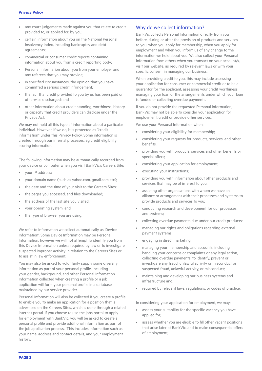- any court judgements made against you that relate to credit provided to, or applied for, by you;
- certain information about you on the National Personal Insolvency Index, including bankruptcy and debt agreements;
- commercial or consumer credit reports containing information about you from a credit reporting body;
- Personal Information about you from your employer and any referees that you may provide;
- in specified circumstances, the opinion that you have committed a serious credit infringement;
- the fact that credit provided to you by us has been paid or otherwise discharged; and
- other information about credit standing, worthiness, history, or capacity that credit providers can disclose under the Privacy Act.

We may not hold all this type of information about a particular individual. However, if we do, it is protected as "credit information" under this Privacy Policy. Some information is created through our internal processes, eg credit eligibility scoring information.

The following information may be automatically recorded from your device or computer when you visit BankVic's Careers Site:

- your IP address;
- your domain name (such as yahoo.com, gmail.com etc);
- the date and the time of your visit to the Careers Sites:
- the pages you accessed, and files downloaded;
- the address of the last site you visited;
- your operating system; and
- the type of browser you are using.

We refer to information we collect automatically as 'Device Information'. Some Device Information may be Personal Information, however we will not attempt to identify you from this Device Information unless required by law or to investigate suspected improper activity in relation to the Careers Sites or to assist in law enforcement.

You may also be asked to voluntarily supply some diversity information as part of your personal profile, including your gender, background, and other Personal Information. Information collected when creating a profile or a job application will form your personal profile in a database maintained by our service provider.

Personal Information will also be collected if you create a profile to enable you to make an application for a position that is advertised on the Careers Sites, which is done through a related internet portal. If you choose to use the jobs portal to apply for employment with BankVic, you will be asked to create a personal profile and provide additional information as part of the job application process. This includes information such as your name, address and contact details, and your employment history.

#### Why do we collect information?

BankVic collects Personal Information directly from you before, during or after the provision of products and services to you, when you apply for membership, when you apply for employment and when you inform us of any change to the information we hold about you. We also collect your Personal Information from others when you transact on your account/s, visit our website, as required by relevant laws or with your specific consent in managing our business.

When providing credit to you, this may include assessing your application for consumer or commercial credit or to be a guarantor for the applicant, assessing your credit worthiness, managing your loan or the arrangements under which your loan is funded or collecting overdue payments.

If you do not provide the requested Personal Information, BankVic may not be able to consider your application for employment, credit or provide other services.

We use your Personal Information when:

- considering your eligibility for membership;
- considering your requests for products, services, and other benefits;
- providing you with products, services and other benefits or special offers;
- considering your application for employment;
- executing your instructions;
- providing you with information about other products and services that may be of interest to you;
- assisting other organisations with whom we have an alliance or arrangement with their processes and systems to provide products and services to you;
- conducting research and development for our processes and systems;
- collecting overdue payments due under our credit products;
- managing our rights and obligations regarding external payment systems;
- engaging in direct marketing;
- managing your membership and accounts, including handling your concerns or complaints or any legal action, collecting overdue payments, to identify, prevent or investigate any fraud, unlawful activity or misconduct or suspected fraud, unlawful activity, or misconduct;
- maintaining and developing our business systems and infrastructure and;
- required by relevant laws, requlations, or codes of practice.

In considering your application for employment, we may:

- assess your suitability for the specific vacancy you have applied for;
- assess whether you are eligible to fill other vacant positions that arise later at BankVic, and to make consequential offers of employment;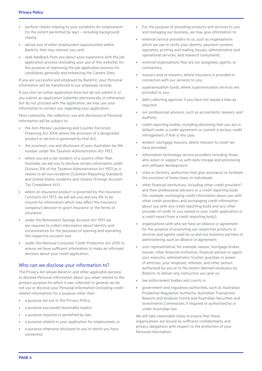- perform checks relating to your suitability for employment (to the extent permitted by law) – including background checks;
- advise you of other employment opportunities within BankVic that may interest you; and
- seek feedback from you about your experience with the job application process (including your use of this website), for the purpose of improving the job application process for candidates generally and enhancing the Careers Sites.

If you are successful and employed by BankVic, your Personal Information will be transferred to our employee records.

If you start an online application form but do not submit it, or you submit an application (whether electronically or otherwise) but do not proceed with the application, we may use your information to contact you regarding your application.

Most commonly, the collection, use and disclosure of Personal Information will be subject to:

- the Anti-Money Laundering and Counter-Terrorism Financing Act 2006 where the provision of a designated product or service is governed by that Act;
- the provision, use and disclosure of your Australian tax file number under the Taxation Administration Act 1953;
- where you are a tax resident of a country other than Australia, we ask you to disclose certain information under Division 396 of the Taxation Administration Act 1953 as it relates to all non-residents (Common Reporting Standard) and United States residents and citizens (Foreign Account Tax Compliance Act);
- where an insurance product is governed by the Insurance Contracts Act 1973, we will ask you and any life to be insured for information which may affect the insurance company's decision to grant insurance or the terms of insurance;
- under the Retirement Savings Account Act 1997 we are required to collect information about identity and circumstances for the purposes of opening and operating the respective account; and
- under the National Consumer Credit Protection Act 2010 to ensure we have sufficient information to make an informed decision about your credit application.

#### Who can we disclose your information to?

The Privacy Act allows BankVic and other applicable persons to disclose Personal Information about you when related to the primary purpose for which it was collected. In general, we do not use or disclose your Personal Information (including creditrelated information) for a purpose other than:

- a purpose set out in this Privacy Policy:
- a purpose you would reasonably expect;
- a purpose required or permitted by law;
- a purpose related to your application for employment; or
- a purpose otherwise disclosed to you to which you have consented.
- For the purpose of providing products and services to you and managing our business, we may give information to:
- external service providers to us, such as organisations which we use to verify your identity, payment systems operators, printing and mailing houses, administrative and operational services, and research consultants;
- external organisations that are our assignees, agents, or contractors;
- insurers and re-insurers, where insurance is provided in connection with our services to you;
- superannuation funds, where superannuation services are provided to you;
- debt collecting agencies if you have not repaid a loan as required;
- our professional advisors, such as accountants, lawyers, and auditors;
- credit reporting bodies, including disclosing that you are in default under a credit agreement or commit a serious credit infringement, if that is the case;
- lenders' mortgage insurers, where relevant to credit we have provided;
- information technology service providers including those who assist or support us with data storage and processing and software development;
- state or territory authorities that give assistance to facilitate the provision of home loans to individuals;
- other financial institutions, including other credit providers\* and their professional advisors or a credit reporting body (for example, exchanging credit information about you with other credit providers, and exchanging credit information about you with any credit reporting body and any other provider of credit to you named in your credit application or a credit report from a credit reporting body);
- organisations with who we have an alliance or agreement for the purpose of promoting our respective products or services and agents used by us and our business partners in administering such an alliance or agreement;
- your representative, for example, lawyer, mortgage broker, insurer, other financial institution, financial advisor or agent, your executor, administrator, trustee, guardian or power of attorney, your employer, referees, and other person authorised by you or to the extent deemed necessary by BankVic to deliver any instruction you give us;
- law enforcement bodies and courts; or
- government and regulatory authorities, such as Australian Prudential Regulation Authority, Australian Transaction Reports and Analysis Centre and Australian Securities and Investments Commission, if required or authorised by or under Australian law.

We will take reasonable steps to ensure that these organisations are bound by sufficient confidentiality and privacy obligations with respect to the protection of your Personal Information.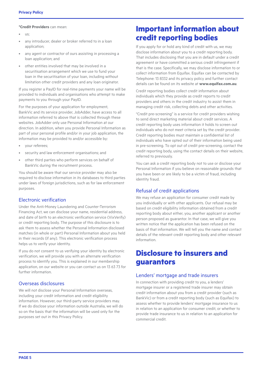#### **\*Credit Providers** can mean:

- $\overline{11}$
- any introducer, dealer or broker referred to in a loan application;
- any agent or contractor of ours assisting in processing a loan application; and
- other entities involved that may be involved in a securitisation arrangement which we use to fund your loan in the securitisation of your loan, including without limitation other credit providers and any loan originator.

If you register a PayID for real-time payments your name will be provided to individuals and organisations who attempt to make payments to you through your PayID.

For the purposes of your application for employment, BankVic and its service provider, JobAdder, have access to all information referred to above that is collected through these websites. JobAdder only use Personal Information at our direction. In addition, when you provide Personal Information as part of your personal profile and/or in your job application, the information may be provided to and/or accessible by:

- your referees;
- security and law enforcement organisations; and
- other third parties who perform services on behalf of BankVic during the recruitment process.

You should be aware that our service provider may also be required to disclose information in its databases to third parties under laws of foreign jurisdictions, such as for law enforcement purposes.

#### Electronic verification

Under the Anti-Money Laundering and Counter-Terrorism Financing Act, we can disclose your name, residential address, and date of birth to an electronic verification service (VixVerify) or credit reporting body. The purpose of this disclosure is to ask them to assess whether the Personal Information disclosed matches (in whole or part) Personal Information about you held in their records (if any). This electronic verification process helps us to verify your identity.

If you do not consent to us verifying your identity by electronic verification, we will provide you with an alternate verification process to identify you. This is explained in our membership application, on our website or you can contact us on 13 63 73 for further information.

#### Overseas disclosures

We will not disclose your Personal Information overseas, including your credit information and credit eligibility information. However, our third-party service providers may. If we do disclose your information outside Australia, we will do so on the basis that the information will be used only for the purposes set out in this Privacy Policy.

### **Important information about credit reporting bodies**

If you apply for or hold any kind of credit with us, we may disclose information about you to a credit reporting body. That includes disclosing that you are in default under a credit agreement or have committed a serious credit infringement if that is the case. Specifically, we may disclose information to or collect information from Equifax. Equifax can be contacted by Telephone: 13 8332 and its privacy policy and further contact details can be found on its website at **[www.equifax.com.au](http://www.equifax.com.au)**.

Credit reporting bodies collect credit information about individuals which they provide as credit reports to credit providers and others in the credit industry to assist them in managing credit risk, collecting debts and other activities.

"Credit pre-screening" is a service for credit providers wishing to send direct marketing material about credit services. A credit reporting body uses information it holds to screen out individuals who do not meet criteria set by the credit provider. Credit reporting bodies must maintain a confidential list of individuals who have opted out of their information being used in pre-screening. To opt out of credit pre-screening, contact the credit reporting body, using the contact details on their website, referred to previously.

You can ask a credit reporting body not to use or disclose your Personal Information if you believe on reasonable grounds that you have been or are likely to be a victim of fraud, including identity fraud.

#### Refusal of credit applications

We may refuse an application for consumer credit made by you individually or with other applicants. Our refusal may be based on credit eligibility information obtained from a credit reporting body about either, you, another applicant or another person proposed as guarantor. In that case, we will give you written notice that the application has been refused on the basis of that information. We will tell you the name and contact details of the relevant credit reporting body and other relevant information.

## **Disclosure to insurers and guarantors**

#### Lenders' mortgage and trade insurers

In connection with providing credit to you, a lenders' mortgage insurer or a registered trade insurer may obtain credit information about you from a credit provider (such as BankVic) or from a credit reporting body (such as Equifax) to assess whether to provide lenders' mortgage insurance to us in relation to an application for consumer credit, or whether to provide trade insurance to us in relation to an application for commercial credit.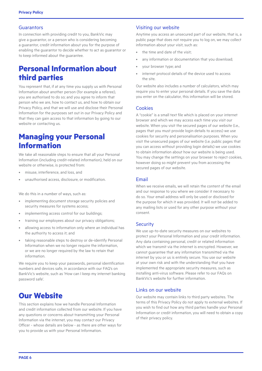#### Guarantors

In connection with providing credit to you, BankVic may give a guarantor, or a person who is considering becoming a guarantor, credit information about you for the purpose of enabling the guarantor to decide whether to act as guarantor or to keep informed about the guarantee.

## **Personal Information about third parties**

You represent that, if at any time you supply us with Personal Information about another person (for example a referee), you are authorised to do so; and you agree to inform that person who we are, how to contact us, and how to obtain our Privacy Policy, and that we will use and disclose their Personal Information for the purposes set out in our Privacy Policy and that they can gain access to that information by going to our website or contacting us.

# **Managing your Personal Information**

We take all reasonable steps to ensure that all your Personal Information (including credit-related information), held on our website or otherwise, is protected from:

- misuse, interference, and loss, and
- unauthorised access, disclosure, or modification.

We do this in a number of ways, such as:

- implementing document storage security policies and security measures for systems access;
- implementing access control for our buildings;
- training our employees about our privacy obligations;
- allowing access to information only where an individual has the authority to access it; and
- taking reasonable steps to destroy or de-identify Personal Information when we no longer require the information, or we are no longer required by the law to retain that information.

We require you to keep your passwords, personal identification numbers and devices safe, in accordance with our FAQ's on BankVic's website, such as ['How can I keep my internet banking](https://www.bankvic.com.au/search)  [password safe'](https://www.bankvic.com.au/search).

## **Our Website**

This section explains how we handle Personal Information and credit information collected from our website. If you have any questions or concerns about transmitting your Personal Information via the internet, you may contact our Privacy Officer - whose details are below - as there are other ways for you to provide us with your Personal Information.

#### Visiting our website

Anytime you access an unsecured part of our website, that is, a public page that does not require you to log on, we may collect information about your visit, such as:

- the time and date of the visit-
- any information or documentation that you download;
- your browser type; and
- internet protocol details of the device used to access the site.

Our website also includes a number of calculators, which may require you to enter your personal details. If you save the data you enter on the calculator, this information will be stored.

#### Cookies

A "cookie" is a small text file which is placed on your internet browser and which we may access each time you visit our website. When you visit the secured pages of our website (i.e., pages that you must provide login details to access) we use cookies for security and personalisation purposes. When you visit the unsecured pages of our website (i.e. public pages that you can access without providing login details) we use cookies to obtain information about how our website is being used. You may change the settings on your browser to reject cookies, however doing so might prevent you from accessing the secured pages of our website.

#### Email

When we receive emails, we will retain the content of the email and our response to you where we consider it necessary to do so. Your email address will only be used or disclosed for the purpose for which it was provided. It will not be added to any mailing lists or used for any other purpose without your consent.

#### **Security**

We use up-to-date security measures on our websites to protect your Personal Information and your credit information. Any data containing personal, credit or related information which we transmit via the internet is encrypted. However, we cannot guarantee that any information transmitted via the internet by you or us is entirely secure. You use our website at your own risk and with the understanding that you have implemented the appropriate security measures, such as installing anti-virus software. Please refer to our FAQs on BankVic's website for further information.

#### Links on our website

Our website may contain links to third party websites. The terms of this Privacy Policy do not apply to external websites. If you wish to find out how any third parties handle your Personal Information or credit information, you will need to obtain a copy of their privacy policy.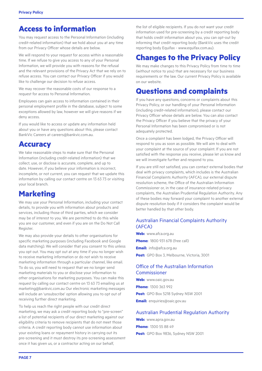## **Access to information**

You may request access to the Personal Information (including credit-related information) that we hold about you at any time from our Privacy Officer whose details are below.

We will respond to your request for access within a reasonable time. If we refuse to give you access to any of your Personal Information, we will provide you with reasons for the refusal and the relevant provisions of the Privacy Act that we rely on to refuse access. You can contact our Privacy Officer if you would like to challenge our decision to refuse access.

We may recover the reasonable costs of our response to a request for access to Personal Information.

Employees can gain access to information contained in their personal employment profile in the database, subject to some exceptions allowed by law, however we will give reasons if we deny access.

If you would like to access or update any information held about you or have any questions about this, please contact BankVic Careers at [careers@bankvic.com.au.](mailto:careers@bankvic.com.au)

## **Accuracy**

We take reasonable steps to make sure that the Personal Information (including credit-related information) that we collect, use, or disclose is accurate, complete, and up to date. However, if you believe your information is incorrect, incomplete, or not current, you can request that we update this information by calling our contact centre on 13 63 73 or visiting your local branch.

# **Marketing**

We may use your Personal Information, including your contact details, to provide you with information about products and services, including those of third parties, which we consider may be of interest to you. We are permitted to do this while you are our customer, and even if you are on the Do Not Call Register.

We may also provide your details to other organisations for specific marketing purposes (including Facebook and Google data matching). We will consider that you consent to this unless you opt out. You may opt out at any time if you no longer wish to receive marketing information or do not wish to receive marketing information through a particular channel, like email. To do so, you will need to request that we no longer send marketing materials to you or disclose your information to other organisations for marketing purposes. You can make this request by calling our contact centre on 13 63 73 emailing us at [marketing@bankvic.com.au](mailto:marketing@bankvic.com.au) Our electronic marketing messages will include an 'unsubscribe' option allowing you to opt out of receiving further direct marketing.

To help us reach the right people with our credit direct marketing, we may ask a credit reporting body to "pre-screen" a list of potential recipients of our direct marketing against our eligibility criteria to remove recipients that do not meet those criteria. A credit reporting body cannot use information about your existing loans or repayment history in carrying out its pre-screening and it must destroy its pre-screening assessment once it has given us, or a contractor acting on our behalf,

the list of eligible recipients. If you do not want your credit information used for pre-screening by a credit reporting body that holds credit information about you, you can opt-out by informing that credit reporting body (BankVic uses the credit reporting body Equifax - [www.equifax.com.au](http://www.equifax.com.au)).

## **Changes to the Privacy Policy**

We may make changes to this Privacy Policy from time to time (without notice to you) that are necessary for our business requirements or the law. Our current Privacy Policy is available on our website.

## **Questions and complaints**

If you have any questions, concerns or complaints about this Privacy Policy, or our handling of your Personal Information (including credit-related information), please contact our Privacy Officer whose details are below. You can also contact the Privacy Officer if you believe that the privacy of your Personal Information has been compromised or is not adequately protected.

Once a complaint has been lodged, the Privacy Officer will respond to you as soon as possible. We will aim to deal with your complaint at the source of your complaint. If you are not satisfied with the response you receive, please let us know and we will investigate further and respond to you.

If you are still not satisfied, you can contact external bodies that deal with privacy complaints, which includes is the Australian Financial Complaints Authority (AFCA), our external dispute resolution scheme, the Office of the Australian Information Commissioner or, in the case of insurance-related privacy complaints, the Australian Prudential Regulation Authority. Any of these bodies may forward your complaint to another external dispute resolution body if it considers the complaint would be better handled by that other body.

#### Australian Financial Complaints Authority (AFCA)

**Web:** www.afca.org.au **Phone:** 1800 931 678 (free call) **Email:** info@afca.org.au **Post:** GPO Box 3, Melbourne, Victoria, 3001

#### Office of the Australian Information Commissioner

**Web:** [www.oaic.gov.au](http://www.oaic.gov.au) **Phone:** 1300 363 992 **Post:** GPO Box 5218 Sydney NSW 2001 **Email:** enquiries@oaic.gov.au

#### Australian Prudential Regulation Authority

**Web:** [www.apra.gov.au](http://www.apra.gov.au) **Phone:** 1300 55 88 49 **Post:** GPO Box 9836, Sydney NSW 2001